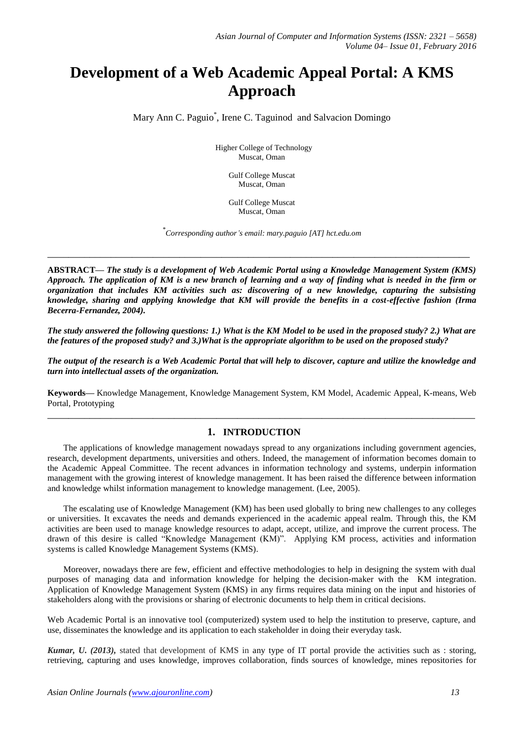# **Development of a Web Academic Appeal Portal: A KMS Approach**

Mary Ann C. Paguio\* , Irene C. Taguinod and Salvacion Domingo

Higher College of Technology Muscat, Oman

> Gulf College Muscat Muscat, Oman

Gulf College Muscat Muscat, Oman

\* *Corresponding author's email: mary.paguio [AT] hct.edu.om*

**\_\_\_\_\_\_\_\_\_\_\_\_\_\_\_\_\_\_\_\_\_\_\_\_\_\_\_\_\_\_\_\_\_\_\_\_\_\_\_\_\_\_\_\_\_\_\_\_\_\_\_\_\_\_\_\_\_\_\_\_\_\_\_\_\_\_\_\_\_\_\_\_\_\_\_\_\_\_\_\_**

**ABSTRACT—** *The study is a development of Web Academic Portal using a Knowledge Management System (KMS) Approach. The application of KM is a new branch of learning and a way of finding what is needed in the firm or organization that includes KM activities such as: discovering of a new knowledge, capturing the subsisting knowledge, sharing and applying knowledge that KM will provide the benefits in a cost-effective fashion (Irma Becerra-Fernandez, 2004).* 

*The study answered the following questions: 1.) What is the KM Model to be used in the proposed study? 2.) What are the features of the proposed study? and 3.)What is the appropriate algorithm to be used on the proposed study?* 

*The output of the research is a Web Academic Portal that will help to discover, capture and utilize the knowledge and turn into intellectual assets of the organization.*

**Keywords—** Knowledge Management, Knowledge Management System, KM Model, Academic Appeal, K-means, Web Portal, Prototyping **\_\_\_\_\_\_\_\_\_\_\_\_\_\_\_\_\_\_\_\_\_\_\_\_\_\_\_\_\_\_\_\_\_\_\_\_\_\_\_\_\_\_\_\_\_\_\_\_\_\_\_\_\_\_\_\_\_\_\_\_\_\_\_\_\_\_\_\_\_\_\_\_\_\_\_\_\_\_\_\_\_**

## **1. INTRODUCTION**

The applications of knowledge management nowadays spread to any organizations including government agencies, research, development departments, universities and others. Indeed, the management of information becomes domain to the Academic Appeal Committee. The recent advances in information technology and systems, underpin information management with the growing interest of knowledge management. It has been raised the difference between information and knowledge whilst information management to knowledge management. (Lee, 2005).

The escalating use of Knowledge Management (KM) has been used globally to bring new challenges to any colleges or universities. It excavates the needs and demands experienced in the academic appeal realm. Through this, the KM activities are been used to manage knowledge resources to adapt, accept, utilize, and improve the current process. The drawn of this desire is called "Knowledge Management (KM)". Applying KM process, activities and information systems is called Knowledge Management Systems (KMS).

Moreover, nowadays there are few, efficient and effective methodologies to help in designing the system with dual purposes of managing data and information knowledge for helping the decision-maker with the KM integration. Application of Knowledge Management System (KMS) in any firms requires data mining on the input and histories of stakeholders along with the provisions or sharing of electronic documents to help them in critical decisions.

Web Academic Portal is an innovative tool (computerized) system used to help the institution to preserve, capture, and use, disseminates the knowledge and its application to each stakeholder in doing their everyday task.

*Kumar, U. (2013),* stated that development of KMS in any type of IT portal provide the activities such as : storing, retrieving, capturing and uses knowledge, improves collaboration, finds sources of knowledge, mines repositories for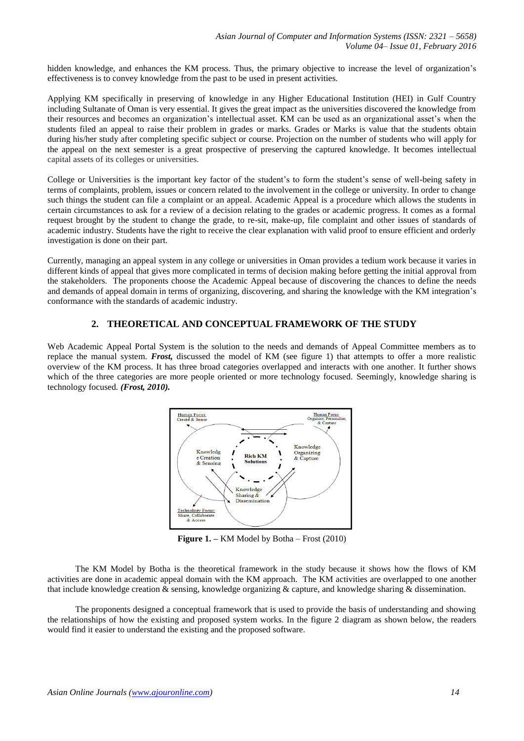hidden knowledge, and enhances the KM process. Thus, the primary objective to increase the level of organization's effectiveness is to convey knowledge from the past to be used in present activities.

Applying KM specifically in preserving of knowledge in any Higher Educational Institution (HEI) in Gulf Country including Sultanate of Oman is very essential. It gives the great impact as the universities discovered the knowledge from their resources and becomes an organization's intellectual asset. KM can be used as an organizational asset's when the students filed an appeal to raise their problem in grades or marks. Grades or Marks is value that the students obtain during his/her study after completing specific subject or course. Projection on the number of students who will apply for the appeal on the next semester is a great prospective of preserving the captured knowledge. It becomes intellectual capital assets of its colleges or universities.

College or Universities is the important key factor of the student's to form the student's sense of well-being safety in terms of complaints, problem, issues or concern related to the involvement in the college or university. In order to change such things the student can file a complaint or an appeal. Academic Appeal is a procedure which allows the students in certain circumstances to ask for a review of a decision relating to the grades or academic progress. It comes as a formal request brought by the student to change the grade, to re-sit, make-up, file complaint and other issues of standards of academic industry. Students have the right to receive the clear explanation with valid proof to ensure efficient and orderly investigation is done on their part.

Currently, managing an appeal system in any college or universities in Oman provides a tedium work because it varies in different kinds of appeal that gives more complicated in terms of decision making before getting the initial approval from the stakeholders. The proponents choose the Academic Appeal because of discovering the chances to define the needs and demands of appeal domain in terms of organizing, discovering, and sharing the knowledge with the KM integration's conformance with the standards of academic industry.

# **2. THEORETICAL AND CONCEPTUAL FRAMEWORK OF THE STUDY**

Web Academic Appeal Portal System is the solution to the needs and demands of Appeal Committee members as to replace the manual system. *Frost,* discussed the model of KM (see figure 1) that attempts to offer a more realistic overview of the KM process. It has three broad categories overlapped and interacts with one another. It further shows which of the three categories are more people oriented or more technology focused. Seemingly, knowledge sharing is technology focused*. (Frost, 2010).*



**Figure 1. –** KM Model by Botha – Frost (2010)

The KM Model by Botha is the theoretical framework in the study because it shows how the flows of KM activities are done in academic appeal domain with the KM approach. The KM activities are overlapped to one another that include knowledge creation & sensing, knowledge organizing & capture, and knowledge sharing & dissemination.

The proponents designed a conceptual framework that is used to provide the basis of understanding and showing the relationships of how the existing and proposed system works. In the figure 2 diagram as shown below, the readers would find it easier to understand the existing and the proposed software.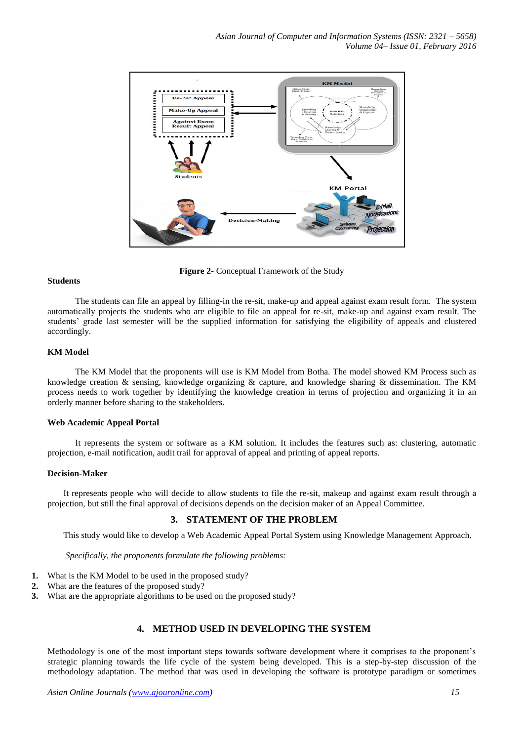

**Figure 2-** Conceptual Framework of the Study

#### **Students**

The students can file an appeal by filling-in the re-sit, make-up and appeal against exam result form. The system automatically projects the students who are eligible to file an appeal for re-sit, make-up and against exam result. The students' grade last semester will be the supplied information for satisfying the eligibility of appeals and clustered accordingly.

## **KM Model**

The KM Model that the proponents will use is KM Model from Botha. The model showed KM Process such as knowledge creation & sensing, knowledge organizing & capture, and knowledge sharing & dissemination. The KM process needs to work together by identifying the knowledge creation in terms of projection and organizing it in an orderly manner before sharing to the stakeholders.

#### **Web Academic Appeal Portal**

It represents the system or software as a KM solution. It includes the features such as: clustering, automatic projection, e-mail notification, audit trail for approval of appeal and printing of appeal reports.

#### **Decision-Maker**

It represents people who will decide to allow students to file the re-sit, makeup and against exam result through a projection, but still the final approval of decisions depends on the decision maker of an Appeal Committee.

## **3. STATEMENT OF THE PROBLEM**

This study would like to develop a Web Academic Appeal Portal System using Knowledge Management Approach.

*Specifically, the proponents formulate the following problems:* 

- **1.** What is the KM Model to be used in the proposed study?
- **2.** What are the features of the proposed study?
- **3.** What are the appropriate algorithms to be used on the proposed study?

# **4. METHOD USED IN DEVELOPING THE SYSTEM**

Methodology is one of the most important steps towards software development where it comprises to the proponent's strategic planning towards the life cycle of the system being developed. This is a step-by-step discussion of the methodology adaptation. The method that was used in developing the software is prototype paradigm or sometimes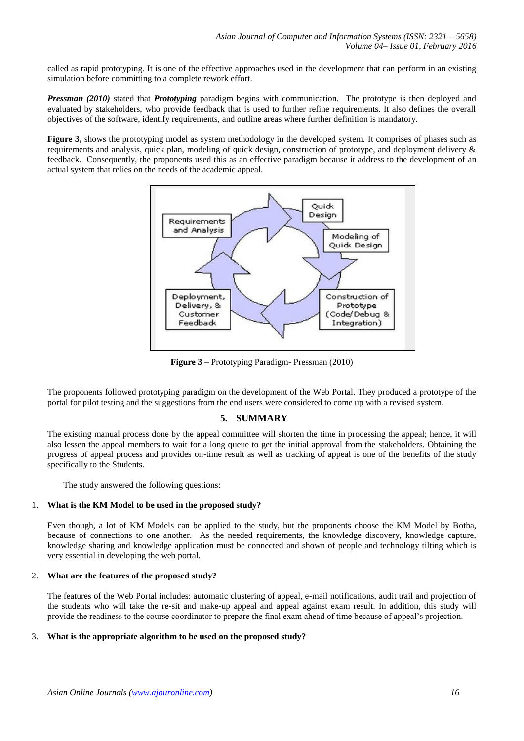called as rapid prototyping. It is one of the effective approaches used in the development that can perform in an existing simulation before committing to a complete rework effort.

*Pressman (2010)* stated that *Prototyping* paradigm begins with communication. The prototype is then deployed and evaluated by stakeholders, who provide feedback that is used to further refine requirements. It also defines the overall objectives of the software, identify requirements, and outline areas where further definition is mandatory.

**Figure 3,** shows the prototyping model as system methodology in the developed system. It comprises of phases such as requirements and analysis, quick plan, modeling of quick design, construction of prototype, and deployment delivery & feedback. Consequently, the proponents used this as an effective paradigm because it address to the development of an actual system that relies on the needs of the academic appeal.



**Figure 3 –** Prototyping Paradigm- Pressman (2010)

The proponents followed prototyping paradigm on the development of the Web Portal. They produced a prototype of the portal for pilot testing and the suggestions from the end users were considered to come up with a revised system.

# **5. SUMMARY**

The existing manual process done by the appeal committee will shorten the time in processing the appeal; hence, it will also lessen the appeal members to wait for a long queue to get the initial approval from the stakeholders. Obtaining the progress of appeal process and provides on-time result as well as tracking of appeal is one of the benefits of the study specifically to the Students.

The study answered the following questions:

## 1. **What is the KM Model to be used in the proposed study?**

Even though, a lot of KM Models can be applied to the study, but the proponents choose the KM Model by Botha, because of connections to one another. As the needed requirements, the knowledge discovery, knowledge capture, knowledge sharing and knowledge application must be connected and shown of people and technology tilting which is very essential in developing the web portal.

## 2. **What are the features of the proposed study?**

The features of the Web Portal includes: automatic clustering of appeal, e-mail notifications, audit trail and projection of the students who will take the re-sit and make-up appeal and appeal against exam result. In addition, this study will provide the readiness to the course coordinator to prepare the final exam ahead of time because of appeal's projection.

## 3. **What is the appropriate algorithm to be used on the proposed study?**